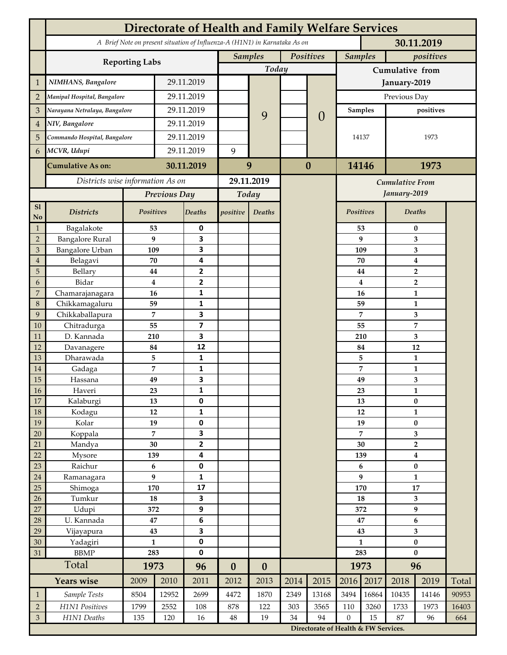|                | <b>Directorate of Health and Family Welfare Services</b>                                 |                |             |                         |                  |                                                                                   |           |                        |                 |              |                                    |                         |       |  |
|----------------|------------------------------------------------------------------------------------------|----------------|-------------|-------------------------|------------------|-----------------------------------------------------------------------------------|-----------|------------------------|-----------------|--------------|------------------------------------|-------------------------|-------|--|
|                | A Brief Note on present situation of Influenza-A (H1N1) in Karnataka As on<br>30.11.2019 |                |             |                         |                  |                                                                                   |           |                        |                 |              |                                    |                         |       |  |
|                | <b>Reporting Labs</b>                                                                    |                |             |                         | <b>Samples</b>   |                                                                                   | Positives |                        | <b>Samples</b>  |              | positives                          |                         |       |  |
|                |                                                                                          |                |             |                         |                  | Today                                                                             |           |                        | Cumulative from |              |                                    |                         |       |  |
| $\mathbf{1}$   | NIMHANS, Bangalore                                                                       | 29.11.2019     |             |                         |                  |                                                                                   |           | January-2019           |                 |              |                                    |                         |       |  |
| $\overline{2}$ | Manipal Hospital, Bangalore                                                              |                | 29.11.2019  |                         |                  |                                                                                   |           |                        | Previous Day    |              |                                    |                         |       |  |
| 3              | Narayana Netralaya, Bangalore                                                            |                |             | 29.11.2019              |                  |                                                                                   |           |                        |                 | Samples      |                                    | positives               |       |  |
| $\overline{4}$ | NIV, Bangalore                                                                           |                | 29.11.2019  |                         |                  | 9                                                                                 |           | $\theta$               |                 |              |                                    |                         |       |  |
| 5              | Commando Hospital, Bangalore                                                             |                | 29.11.2019  |                         |                  |                                                                                   |           |                        | 14137           |              | 1973                               |                         |       |  |
| 6              | MCVR, Udupi                                                                              |                | 29.11.2019  |                         | 9                |                                                                                   |           |                        |                 |              |                                    |                         |       |  |
|                |                                                                                          |                |             | 30.11.2019              |                  |                                                                                   | $\bf{0}$  |                        |                 |              | 1973                               |                         |       |  |
|                | <b>Cumulative As on:</b>                                                                 |                |             |                         | 9                |                                                                                   |           |                        | 14146           |              |                                    |                         |       |  |
|                | Districts wise information As on                                                         |                |             | 29.11.2019              |                  |                                                                                   |           | <b>Cumulative From</b> |                 |              |                                    |                         |       |  |
|                |                                                                                          | Previous Day   |             | Today                   |                  |                                                                                   |           |                        |                 | January-2019 |                                    |                         |       |  |
| S1<br>No       | <b>Districts</b>                                                                         | Positives      |             | Deaths                  | positive         | Deaths                                                                            |           |                        | Positives       |              |                                    | Deaths                  |       |  |
| $\mathbf{1}$   | Bagalakote                                                                               | 53             |             | 0                       |                  |                                                                                   |           |                        |                 | 53           | $\bf{0}$                           |                         |       |  |
| $\overline{2}$ | <b>Bangalore Rural</b>                                                                   | 9              |             | 3                       |                  |                                                                                   |           |                        |                 | 9            | 3                                  |                         |       |  |
| 3              | Bangalore Urban                                                                          | 109            |             | 3                       |                  |                                                                                   |           |                        | 109             |              | 3                                  |                         |       |  |
| $\overline{4}$ | Belagavi                                                                                 | 70             |             | 4<br>2                  |                  |                                                                                   |           |                        |                 | 70           | $\boldsymbol{4}$<br>$\overline{2}$ |                         |       |  |
| 5<br>6         | Bellary<br>Bidar                                                                         | 44<br>$\bf{4}$ |             | $\overline{2}$          |                  |                                                                                   |           |                        |                 | 44<br>4      |                                    | $\overline{2}$          |       |  |
| 7              | Chamarajanagara                                                                          | 16             |             | 1                       |                  |                                                                                   |           |                        |                 | 16           | 1                                  |                         |       |  |
| 8              | Chikkamagaluru                                                                           | 59             |             | 1                       |                  |                                                                                   |           |                        |                 | 59           |                                    | 1                       |       |  |
| 9              | Chikkaballapura                                                                          | 7              |             | 3                       |                  |                                                                                   |           |                        |                 | 7            |                                    | 3                       |       |  |
| 10             | Chitradurga                                                                              | 55             |             | $\overline{\mathbf{z}}$ |                  |                                                                                   |           |                        |                 | 55           |                                    | 7                       |       |  |
| 11             | D. Kannada                                                                               | 210            |             | 3                       |                  |                                                                                   |           |                        |                 | 210          |                                    | 3                       |       |  |
| 12             | Davanagere                                                                               | 84             |             | 12                      |                  |                                                                                   |           |                        |                 | 84           |                                    | 12                      |       |  |
| 13             | Dharawada                                                                                | 5              |             | $\mathbf{1}$            |                  |                                                                                   |           |                        |                 | 5            |                                    | $\mathbf{1}$            |       |  |
| 14<br>15       | Gadaga                                                                                   | 7<br>49        |             | 1<br>3                  |                  |                                                                                   |           |                        |                 | 7<br>49      |                                    | 1<br>3                  |       |  |
| <b>16</b>      | Hassana<br>Haveri                                                                        | 23             |             | 1                       |                  |                                                                                   |           |                        |                 | 23           |                                    | 1                       |       |  |
| 17             | Kalaburgi                                                                                | 13             |             | 0                       |                  |                                                                                   |           |                        | 13              |              | $\pmb{0}$                          |                         |       |  |
| 18             | Kodagu                                                                                   | 12             |             | $\mathbf{1}$            |                  |                                                                                   |           |                        |                 | 12           |                                    | $\mathbf{1}$            |       |  |
| 19             | Kolar                                                                                    | 19             |             | 0                       |                  |                                                                                   |           |                        |                 | 19           |                                    | $\pmb{0}$               |       |  |
| 20             | Koppala                                                                                  | $\overline{7}$ |             | 3                       |                  |                                                                                   |           |                        | 7               |              | 3                                  |                         |       |  |
| 21             | Mandya                                                                                   | $30\,$         |             | $\mathbf{2}$            |                  |                                                                                   |           |                        | 30              |              |                                    | $\mathbf 2$             |       |  |
| 22             | Mysore                                                                                   | 139            |             | 4                       |                  |                                                                                   |           |                        | 139             |              | $\boldsymbol{4}$                   |                         |       |  |
| 23<br>$24\,$   | Raichur<br>Ramanagara                                                                    | $\bf 6$<br>9   |             | $\pmb{0}$<br>1          |                  |                                                                                   |           |                        | 6<br>9          |              | $\pmb{0}$<br>$\mathbf{1}$          |                         |       |  |
| 25             | Shimoga                                                                                  | 170            |             | 17                      |                  |                                                                                   |           |                        |                 | 170          | 17                                 |                         |       |  |
| 26             | Tumkur                                                                                   | ${\bf 18}$     |             | 3                       |                  |                                                                                   |           |                        | 18              |              | 3                                  |                         |       |  |
| 27             | Udupi                                                                                    | 372            |             | 9                       |                  |                                                                                   |           |                        | 372             |              | 9                                  |                         |       |  |
| 28             | U. Kannada                                                                               | $\bf 47$       |             | $\bf 6$                 |                  |                                                                                   |           |                        | 47              |              | $\bf 6$                            |                         |       |  |
| 29             | Vijayapura                                                                               | 43             |             | 3                       |                  |                                                                                   |           |                        |                 | 43           |                                    | $\overline{\mathbf{3}}$ |       |  |
| 30             | Yadagiri                                                                                 | $\mathbf{1}$   |             | 0                       |                  |                                                                                   |           |                        | $\mathbf{1}$    |              | $\pmb{0}$                          |                         |       |  |
| 31             | <b>BBMP</b>                                                                              | 283            |             | 0                       |                  |                                                                                   |           |                        | 283             |              | $\bf{0}$                           |                         |       |  |
|                | Total                                                                                    | 1973           |             | 96                      | $\boldsymbol{0}$ | $\boldsymbol{0}$                                                                  |           |                        |                 | 1973         | 96                                 |                         |       |  |
|                | <b>Years wise</b>                                                                        | 2009           | 2010        | 2011                    | 2012             | 2013                                                                              | 2014      | 2015                   | 2016            | 2017         | 2018                               | 2019                    | Total |  |
| $\mathbf{1}$   | Sample Tests                                                                             | 8504           | 12952       | 2699                    | 4472             | 1870                                                                              | 2349      | 13168                  | 3494            | 16864        | 10435                              | 14146                   | 90953 |  |
| $\overline{2}$ | H1N1 Positives                                                                           | 1799<br>135    | 2552<br>120 | 108<br>16               | 878              | 122                                                                               | 303       | 3565                   | 110             | 3260         | 1733                               | 1973                    | 16403 |  |
| $\mathfrak{Z}$ | H1N1 Deaths                                                                              | $48\,$         | 19          | 34                      | 94               | $\boldsymbol{0}$<br>15<br>87<br>96<br>664<br>Directorate of Health & FW Services. |           |                        |                 |              |                                    |                         |       |  |